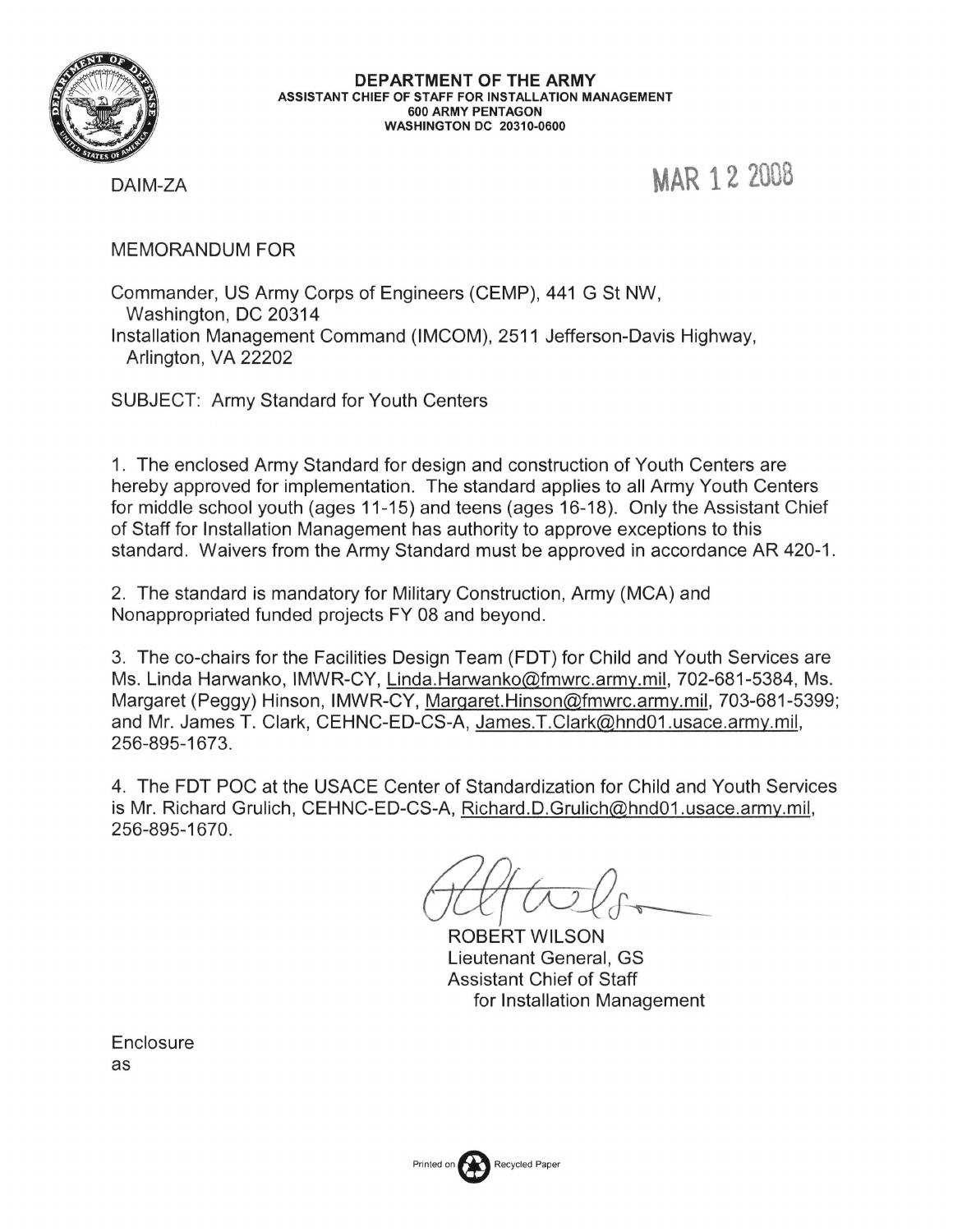

DEPARTMENT OF THE ARMY ASSISTANT CHIEF OF STAFF FOR INSTALLATION MANAGEMENT **600 ARMY PENTAGON WASHINGTON DC 20310-0600** 

MAR 12 2008

DAIM-ZA

**MEMORANDUM FOR** 

Commander, US Army Corps of Engineers (CEMP), 441 G St NW, Washington, DC 20314 Installation Management Command (IMCOM), 2511 Jefferson-Davis Highway, Arlington, VA 22202

**SUBJECT: Army Standard for Youth Centers** 

1. The enclosed Army Standard for design and construction of Youth Centers are hereby approved for implementation. The standard applies to all Army Youth Centers for middle school youth (ages 11-15) and teens (ages 16-18). Only the Assistant Chief of Staff for Installation Management has authority to approve exceptions to this standard. Waivers from the Army Standard must be approved in accordance AR 420-1.

2. The standard is mandatory for Military Construction, Army (MCA) and Nonappropriated funded projects FY 08 and beyond.

3. The co-chairs for the Facilities Design Team (FDT) for Child and Youth Services are Ms. Linda Harwanko, IMWR-CY, Linda.Harwanko@fmwrc.army.mil, 702-681-5384, Ms. Margaret (Peggy) Hinson, IMWR-CY, Margaret.Hinson@fmwrc.army.mil, 703-681-5399; and Mr. James T. Clark, CEHNC-ED-CS-A, James.T.Clark@hnd01.usace.army.mil, 256-895-1673.

4. The FDT POC at the USACE Center of Standardization for Child and Youth Services is Mr. Richard Grulich, CEHNC-ED-CS-A, Richard.D.Grulich@hnd01.usace.army.mil, 256-895-1670.

**ROBERT WILSON** Lieutenant General, GS **Assistant Chief of Staff** for Installation Management

Enclosure as

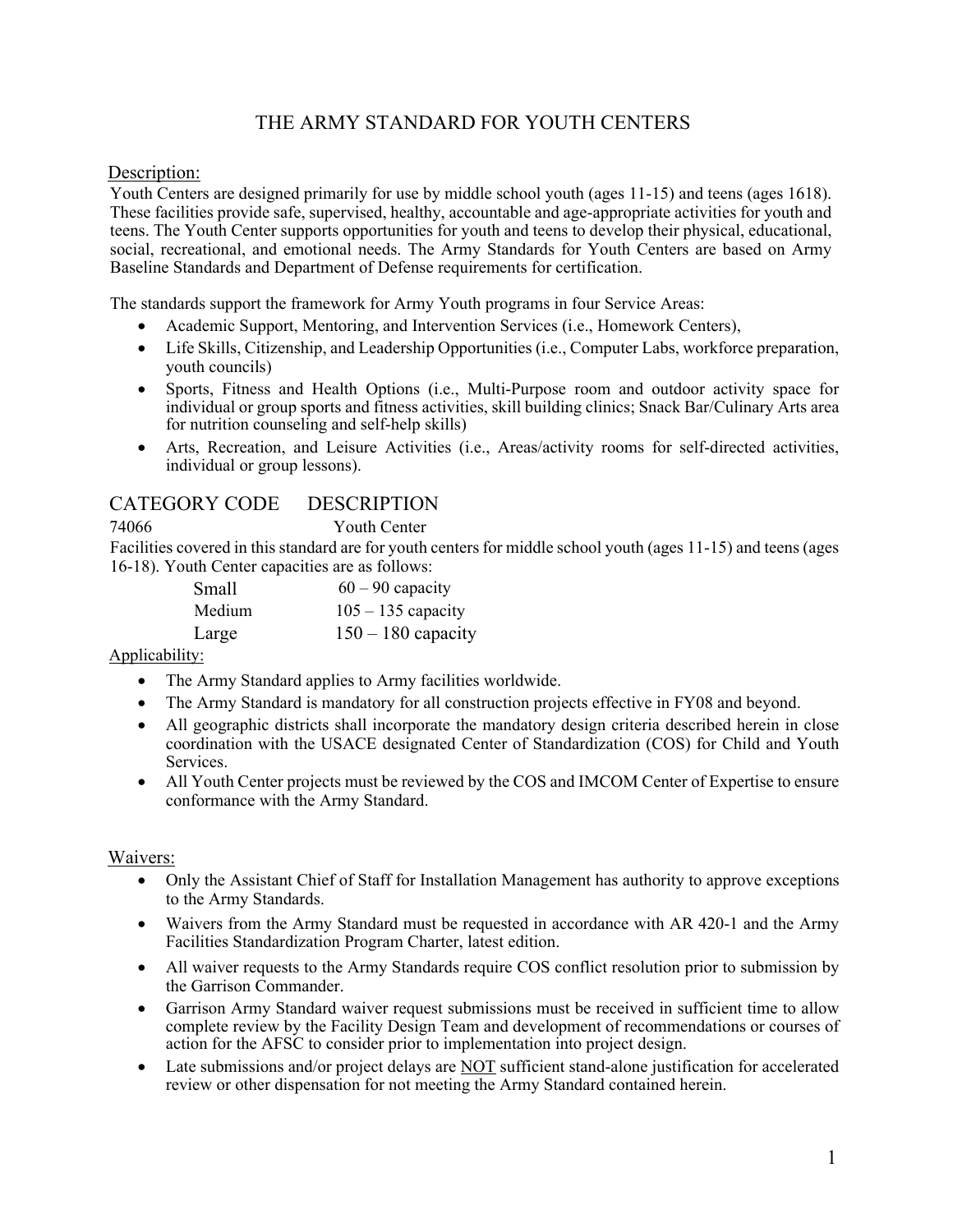## THE ARMY STANDARD FOR YOUTH CENTERS

### Description:

Youth Centers are designed primarily for use by middle school youth (ages 11-15) and teens (ages 1618). These facilities provide safe, supervised, healthy, accountable and age-appropriate activities for youth and teens. The Youth Center supports opportunities for youth and teens to develop their physical, educational, social, recreational, and emotional needs. The Army Standards for Youth Centers are based on Army Baseline Standards and Department of Defense requirements for certification.

The standards support the framework for Army Youth programs in four Service Areas:

- Academic Support, Mentoring, and Intervention Services (i.e., Homework Centers),
- Life Skills, Citizenship, and Leadership Opportunities (i.e., Computer Labs, workforce preparation, youth councils)
- Sports, Fitness and Health Options (i.e., Multi-Purpose room and outdoor activity space for individual or group sports and fitness activities, skill building clinics; Snack Bar/Culinary Arts area for nutrition counseling and self-help skills)
- Arts, Recreation, and Leisure Activities (i.e., Areas/activity rooms for self-directed activities, individual or group lessons).

## CATEGORY CODE DESCRIPTION

74066 Youth Center

Facilities covered in this standard are for youth centers for middle school youth (ages 11-15) and teens (ages 16-18). Youth Center capacities are as follows:

| Small  | $60 - 90$ capacity   |
|--------|----------------------|
| Medium | $105 - 135$ capacity |
| Large  | $150 - 180$ capacity |

Applicability:

- The Army Standard applies to Army facilities worldwide.
- The Army Standard is mandatory for all construction projects effective in FY08 and beyond.
- All geographic districts shall incorporate the mandatory design criteria described herein in close coordination with the USACE designated Center of Standardization (COS) for Child and Youth Services.
- All Youth Center projects must be reviewed by the COS and IMCOM Center of Expertise to ensure conformance with the Army Standard.

### Waivers:

- Only the Assistant Chief of Staff for Installation Management has authority to approve exceptions to the Army Standards.
- Waivers from the Army Standard must be requested in accordance with AR 420-1 and the Army Facilities Standardization Program Charter, latest edition.
- All waiver requests to the Army Standards require COS conflict resolution prior to submission by the Garrison Commander.
- Garrison Army Standard waiver request submissions must be received in sufficient time to allow complete review by the Facility Design Team and development of recommendations or courses of action for the AFSC to consider prior to implementation into project design.
- Late submissions and/or project delays are NOT sufficient stand-alone justification for accelerated review or other dispensation for not meeting the Army Standard contained herein.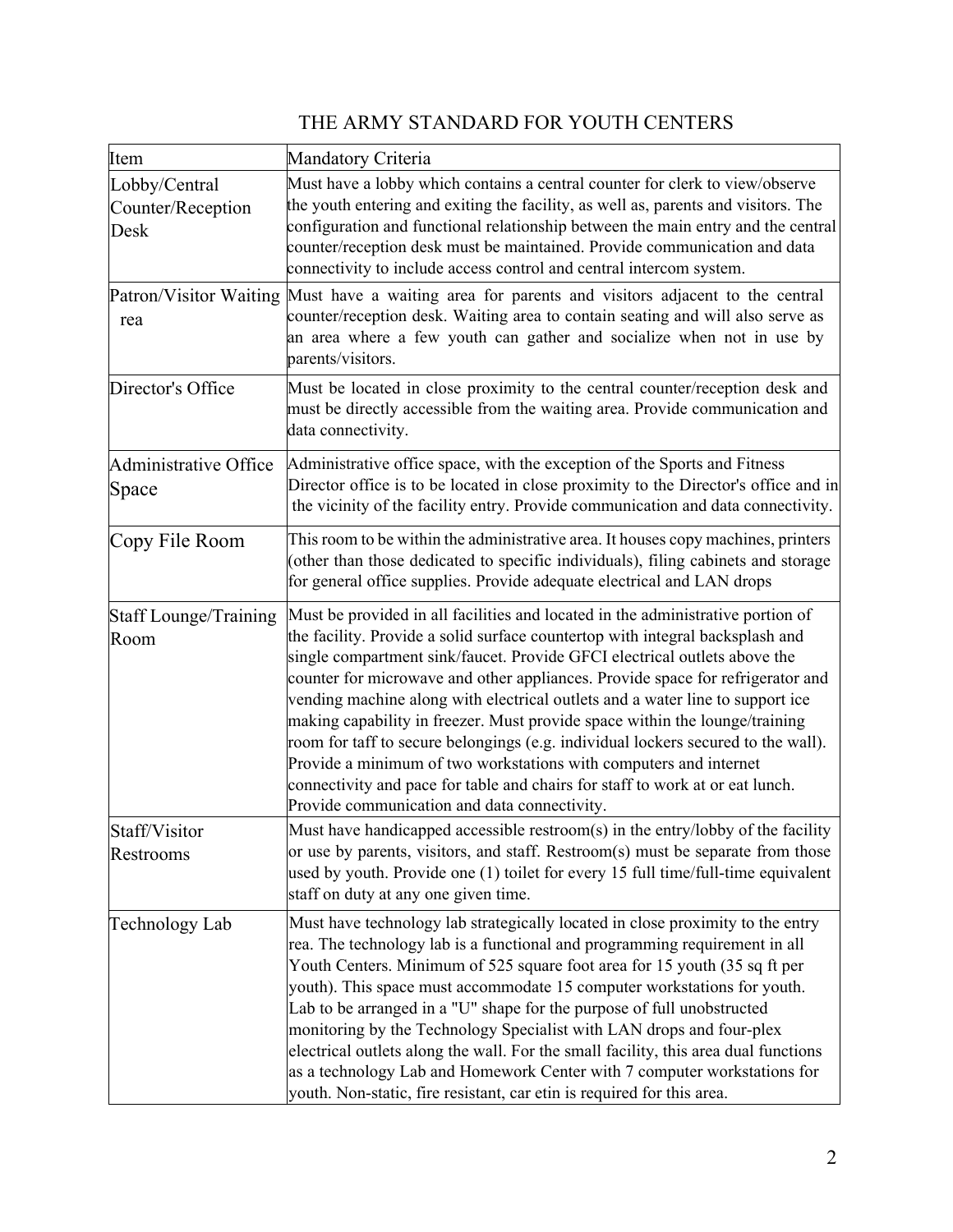# THE ARMY STANDARD FOR YOUTH CENTERS

| Item                                       | Mandatory Criteria                                                                                                                                                                                                                                                                                                                                                                                                                                                                                                                                                                                                                                                                                                                                                                         |
|--------------------------------------------|--------------------------------------------------------------------------------------------------------------------------------------------------------------------------------------------------------------------------------------------------------------------------------------------------------------------------------------------------------------------------------------------------------------------------------------------------------------------------------------------------------------------------------------------------------------------------------------------------------------------------------------------------------------------------------------------------------------------------------------------------------------------------------------------|
| Lobby/Central<br>Counter/Reception<br>Desk | Must have a lobby which contains a central counter for clerk to view/observe<br>the youth entering and exiting the facility, as well as, parents and visitors. The<br>configuration and functional relationship between the main entry and the central<br>counter/reception desk must be maintained. Provide communication and data<br>connectivity to include access control and central intercom system.                                                                                                                                                                                                                                                                                                                                                                                 |
| rea                                        | Patron/Visitor Waiting Must have a waiting area for parents and visitors adjacent to the central<br>counter/reception desk. Waiting area to contain seating and will also serve as<br>an area where a few youth can gather and socialize when not in use by<br>parents/visitors.                                                                                                                                                                                                                                                                                                                                                                                                                                                                                                           |
| Director's Office                          | Must be located in close proximity to the central counter/reception desk and<br>must be directly accessible from the waiting area. Provide communication and<br>data connectivity.                                                                                                                                                                                                                                                                                                                                                                                                                                                                                                                                                                                                         |
| Administrative Office<br>Space             | Administrative office space, with the exception of the Sports and Fitness<br>Director office is to be located in close proximity to the Director's office and in<br>the vicinity of the facility entry. Provide communication and data connectivity.                                                                                                                                                                                                                                                                                                                                                                                                                                                                                                                                       |
| Copy File Room                             | This room to be within the administrative area. It houses copy machines, printers<br>(other than those dedicated to specific individuals), filing cabinets and storage<br>for general office supplies. Provide adequate electrical and LAN drops                                                                                                                                                                                                                                                                                                                                                                                                                                                                                                                                           |
| Staff Lounge/Training<br>Room              | Must be provided in all facilities and located in the administrative portion of<br>the facility. Provide a solid surface countertop with integral backsplash and<br>single compartment sink/faucet. Provide GFCI electrical outlets above the<br>counter for microwave and other appliances. Provide space for refrigerator and<br>vending machine along with electrical outlets and a water line to support ice<br>making capability in freezer. Must provide space within the lounge/training<br>room for taff to secure belongings (e.g. individual lockers secured to the wall).<br>Provide a minimum of two workstations with computers and internet<br>connectivity and pace for table and chairs for staff to work at or eat lunch.<br>Provide communication and data connectivity. |
| Staff/Visitor<br>Restrooms                 | Must have handicapped accessible restroom(s) in the entry/lobby of the facility<br>or use by parents, visitors, and staff. Restroom(s) must be separate from those<br>used by youth. Provide one (1) toilet for every 15 full time/full-time equivalent<br>staff on duty at any one given time.                                                                                                                                                                                                                                                                                                                                                                                                                                                                                            |
| Technology Lab                             | Must have technology lab strategically located in close proximity to the entry<br>rea. The technology lab is a functional and programming requirement in all<br>Youth Centers. Minimum of 525 square foot area for 15 youth (35 sq ft per<br>youth). This space must accommodate 15 computer workstations for youth.<br>Lab to be arranged in a "U" shape for the purpose of full unobstructed<br>monitoring by the Technology Specialist with LAN drops and four-plex<br>electrical outlets along the wall. For the small facility, this area dual functions<br>as a technology Lab and Homework Center with 7 computer workstations for<br>youth. Non-static, fire resistant, car etin is required for this area.                                                                        |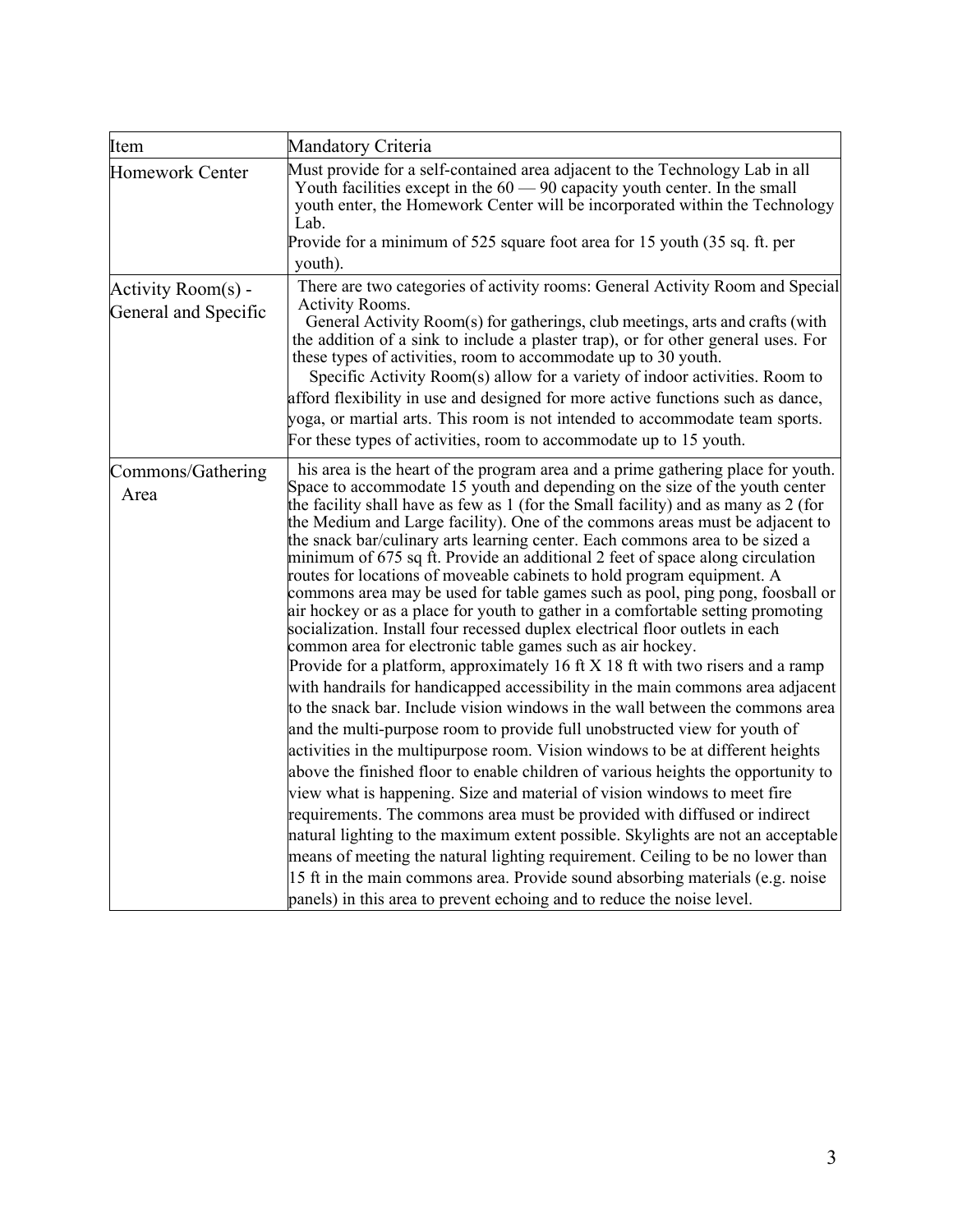| Item                                       | Mandatory Criteria                                                                                                                                                                                                                                                                                                                                                                                                                                                                                                                                                                                                                                                                                                                                                                                                                                                                                                                                                                                                                                                                                                                                                                                                                                                                                                                                                                                                                                                                                                                                                                                                                                                                                                                                                                                                                                                                                          |
|--------------------------------------------|-------------------------------------------------------------------------------------------------------------------------------------------------------------------------------------------------------------------------------------------------------------------------------------------------------------------------------------------------------------------------------------------------------------------------------------------------------------------------------------------------------------------------------------------------------------------------------------------------------------------------------------------------------------------------------------------------------------------------------------------------------------------------------------------------------------------------------------------------------------------------------------------------------------------------------------------------------------------------------------------------------------------------------------------------------------------------------------------------------------------------------------------------------------------------------------------------------------------------------------------------------------------------------------------------------------------------------------------------------------------------------------------------------------------------------------------------------------------------------------------------------------------------------------------------------------------------------------------------------------------------------------------------------------------------------------------------------------------------------------------------------------------------------------------------------------------------------------------------------------------------------------------------------------|
| <b>Homework Center</b>                     | Must provide for a self-contained area adjacent to the Technology Lab in all<br>Youth facilities except in the $60 - 90$ capacity youth center. In the small<br>youth enter, the Homework Center will be incorporated within the Technology<br>Lab.<br>Provide for a minimum of 525 square foot area for 15 youth (35 sq. ft. per<br>youth).                                                                                                                                                                                                                                                                                                                                                                                                                                                                                                                                                                                                                                                                                                                                                                                                                                                                                                                                                                                                                                                                                                                                                                                                                                                                                                                                                                                                                                                                                                                                                                |
| Activity Room(s) -<br>General and Specific | There are two categories of activity rooms: General Activity Room and Special<br>Activity Rooms.<br>General Activity Room(s) for gatherings, club meetings, arts and crafts (with<br>the addition of a sink to include a plaster trap), or for other general uses. For<br>these types of activities, room to accommodate up to 30 youth.<br>Specific Activity Room(s) allow for a variety of indoor activities. Room to<br>afford flexibility in use and designed for more active functions such as dance,<br>yoga, or martial arts. This room is not intended to accommodate team sports.<br>For these types of activities, room to accommodate up to 15 youth.                                                                                                                                                                                                                                                                                                                                                                                                                                                                                                                                                                                                                                                                                                                                                                                                                                                                                                                                                                                                                                                                                                                                                                                                                                            |
| Commons/Gathering<br>Area                  | his area is the heart of the program area and a prime gathering place for youth.<br>Space to accommodate 15 youth and depending on the size of the youth center<br>the facility shall have as few as $1$ (for the Small facility) and as many as $2$ (for<br>the Medium and Large facility). One of the commons areas must be adjacent to<br>the snack bar/culinary arts learning center. Each commons area to be sized a<br>minimum of 675 sq ft. Provide an additional 2 feet of space along circulation<br>routes for locations of moveable cabinets to hold program equipment. A<br>commons area may be used for table games such as pool, ping pong, foosball or<br>air hockey or as a place for youth to gather in a comfortable setting promoting<br>socialization. Install four recessed duplex electrical floor outlets in each<br>common area for electronic table games such as air hockey.<br>Provide for a platform, approximately 16 ft $X$ 18 ft with two risers and a ramp<br>with handrails for handicapped accessibility in the main commons area adjacent<br>to the snack bar. Include vision windows in the wall between the commons area<br>and the multi-purpose room to provide full unobstructed view for youth of<br>activities in the multipurpose room. Vision windows to be at different heights<br>above the finished floor to enable children of various heights the opportunity to<br>view what is happening. Size and material of vision windows to meet fire<br>requirements. The commons area must be provided with diffused or indirect<br>natural lighting to the maximum extent possible. Skylights are not an acceptable<br>means of meeting the natural lighting requirement. Ceiling to be no lower than<br>15 ft in the main commons area. Provide sound absorbing materials (e.g. noise<br>panels) in this area to prevent echoing and to reduce the noise level. |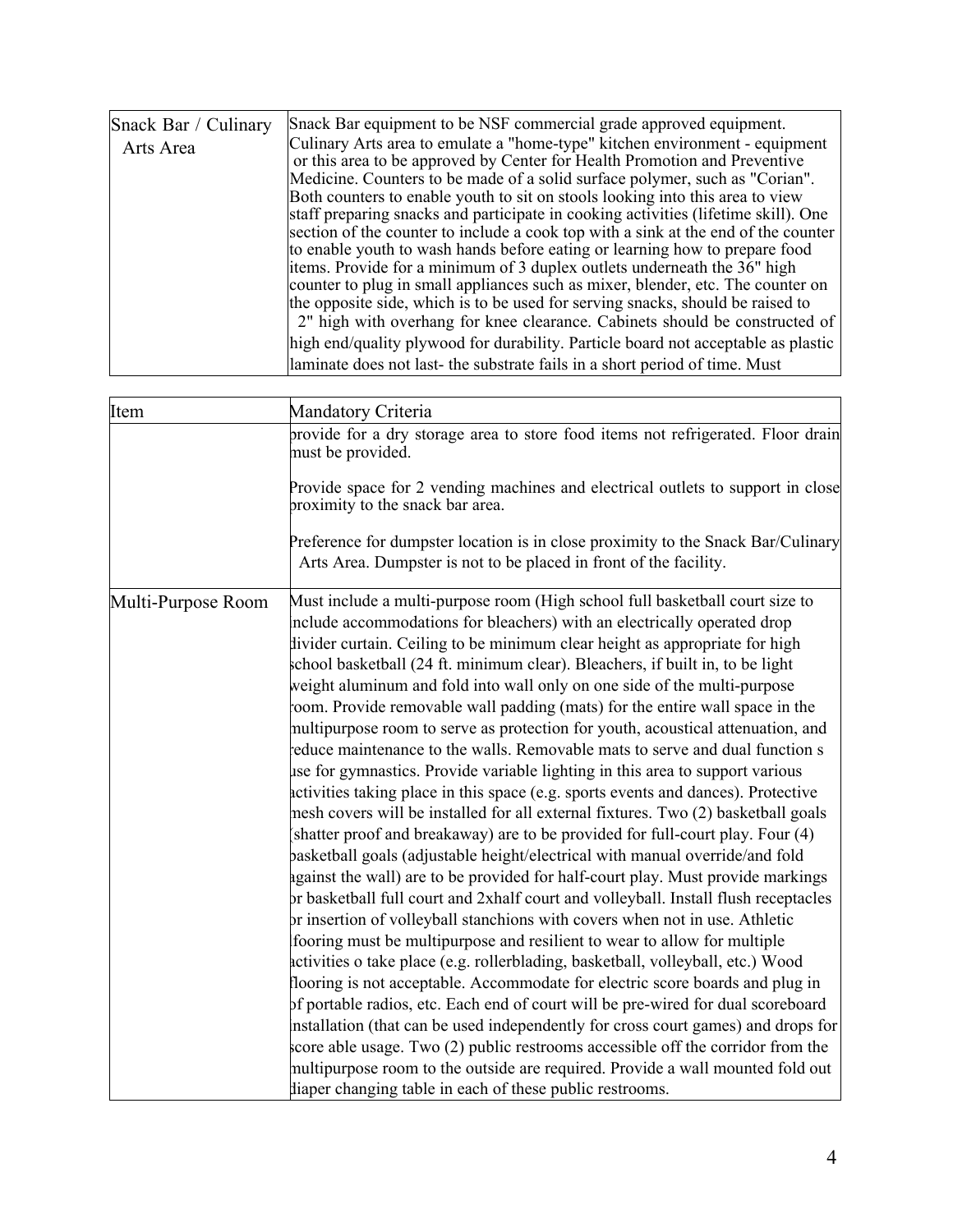| Item               | Mandatory Criteria                                                                                                                                                                                                                                                                                                                                                                                                                                                                                                                                                                                                                                                                                                                                                                                                                                                                                                                                                                                                                                                                                                                                                                                                                                                                                                                                                                                                                                                                                                                                                                                                                                                                                                                                                                                                                                                                                                                                                                                      |  |  |  |  |
|--------------------|---------------------------------------------------------------------------------------------------------------------------------------------------------------------------------------------------------------------------------------------------------------------------------------------------------------------------------------------------------------------------------------------------------------------------------------------------------------------------------------------------------------------------------------------------------------------------------------------------------------------------------------------------------------------------------------------------------------------------------------------------------------------------------------------------------------------------------------------------------------------------------------------------------------------------------------------------------------------------------------------------------------------------------------------------------------------------------------------------------------------------------------------------------------------------------------------------------------------------------------------------------------------------------------------------------------------------------------------------------------------------------------------------------------------------------------------------------------------------------------------------------------------------------------------------------------------------------------------------------------------------------------------------------------------------------------------------------------------------------------------------------------------------------------------------------------------------------------------------------------------------------------------------------------------------------------------------------------------------------------------------------|--|--|--|--|
|                    | provide for a dry storage area to store food items not refrigerated. Floor drain<br>must be provided.                                                                                                                                                                                                                                                                                                                                                                                                                                                                                                                                                                                                                                                                                                                                                                                                                                                                                                                                                                                                                                                                                                                                                                                                                                                                                                                                                                                                                                                                                                                                                                                                                                                                                                                                                                                                                                                                                                   |  |  |  |  |
|                    | Provide space for 2 vending machines and electrical outlets to support in close<br>proximity to the snack bar area.                                                                                                                                                                                                                                                                                                                                                                                                                                                                                                                                                                                                                                                                                                                                                                                                                                                                                                                                                                                                                                                                                                                                                                                                                                                                                                                                                                                                                                                                                                                                                                                                                                                                                                                                                                                                                                                                                     |  |  |  |  |
|                    | Preference for dumpster location is in close proximity to the Snack Bar/Culinary<br>Arts Area. Dumpster is not to be placed in front of the facility.                                                                                                                                                                                                                                                                                                                                                                                                                                                                                                                                                                                                                                                                                                                                                                                                                                                                                                                                                                                                                                                                                                                                                                                                                                                                                                                                                                                                                                                                                                                                                                                                                                                                                                                                                                                                                                                   |  |  |  |  |
| Multi-Purpose Room | Must include a multi-purpose room (High school full basketball court size to<br>include accommodations for bleachers) with an electrically operated drop<br>divider curtain. Ceiling to be minimum clear height as appropriate for high<br>school basketball (24 ft. minimum clear). Bleachers, if built in, to be light<br>weight aluminum and fold into wall only on one side of the multi-purpose<br>coom. Provide removable wall padding (mats) for the entire wall space in the<br>multipurpose room to serve as protection for youth, acoustical attenuation, and<br>reduce maintenance to the walls. Removable mats to serve and dual function s<br>use for gymnastics. Provide variable lighting in this area to support various<br>activities taking place in this space (e.g. sports events and dances). Protective<br>mesh covers will be installed for all external fixtures. Two (2) basketball goals<br>(shatter proof and breakaway) are to be provided for full-court play. Four (4)<br>pasketball goals (adjustable height/electrical with manual override/and fold<br>against the wall) are to be provided for half-court play. Must provide markings<br>or basketball full court and 2xhalf court and volleyball. Install flush receptacles<br>or insertion of volleyball stanchions with covers when not in use. Athletic<br>fooring must be multipurpose and resilient to wear to allow for multiple<br>activities o take place (e.g. rollerblading, basketball, volleyball, etc.) Wood<br>flooring is not acceptable. Accommodate for electric score boards and plug in<br>of portable radios, etc. Each end of court will be pre-wired for dual scoreboard<br>installation (that can be used independently for cross court games) and drops for<br>score able usage. Two (2) public restrooms accessible off the corridor from the<br>multipurpose room to the outside are required. Provide a wall mounted fold out<br>diaper changing table in each of these public restrooms. |  |  |  |  |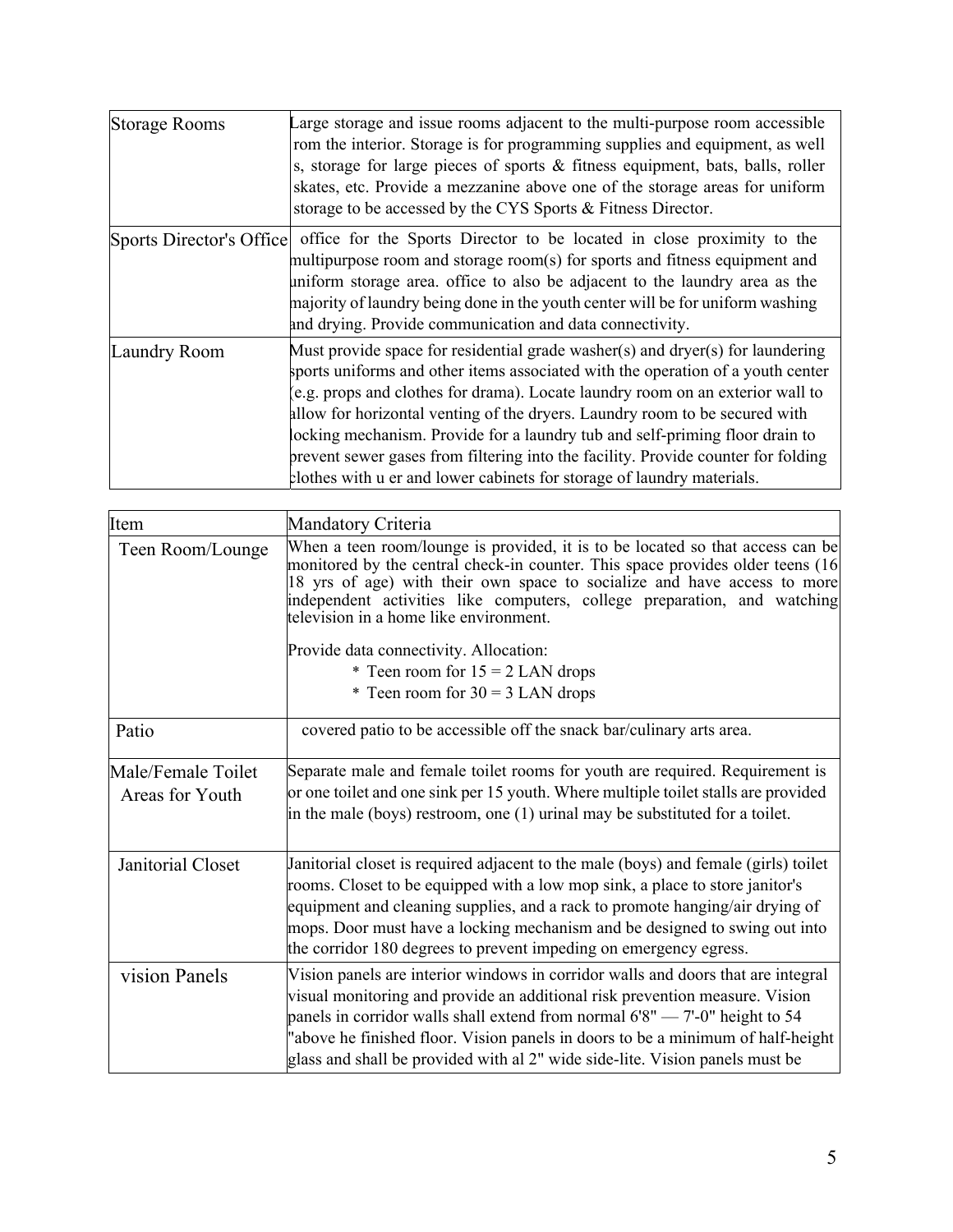| Storage Rooms            | Large storage and issue rooms adjacent to the multi-purpose room accessible<br>rom the interior. Storage is for programming supplies and equipment, as well<br>s, storage for large pieces of sports & fitness equipment, bats, balls, roller<br>skates, etc. Provide a mezzanine above one of the storage areas for uniform<br>storage to be accessed by the CYS Sports & Fitness Director.                                                                                                                                                                                      |
|--------------------------|-----------------------------------------------------------------------------------------------------------------------------------------------------------------------------------------------------------------------------------------------------------------------------------------------------------------------------------------------------------------------------------------------------------------------------------------------------------------------------------------------------------------------------------------------------------------------------------|
| Sports Director's Office | office for the Sports Director to be located in close proximity to the<br>multipurpose room and storage room(s) for sports and fitness equipment and<br>uniform storage area. office to also be adjacent to the laundry area as the<br>majority of laundry being done in the youth center will be for uniform washing<br>and drying. Provide communication and data connectivity.                                                                                                                                                                                                 |
| Laundry Room             | Must provide space for residential grade washer(s) and dryer(s) for laundering<br>sports uniforms and other items associated with the operation of a youth center<br>(e.g. props and clothes for drama). Locate laundry room on an exterior wall to<br>allow for horizontal venting of the dryers. Laundry room to be secured with<br>locking mechanism. Provide for a laundry tub and self-priming floor drain to<br>prevent sewer gases from filtering into the facility. Provide counter for folding<br>clothes with u er and lower cabinets for storage of laundry materials. |

| Item                                  | Mandatory Criteria                                                                                                                                                                                                                                                                                                                                                                                                    |
|---------------------------------------|-----------------------------------------------------------------------------------------------------------------------------------------------------------------------------------------------------------------------------------------------------------------------------------------------------------------------------------------------------------------------------------------------------------------------|
| Teen Room/Lounge                      | When a teen room/lounge is provided, it is to be located so that access can be<br>monitored by the central check-in counter. This space provides older teens (16)<br>18 yrs of age) with their own space to socialize and have access to more<br>independent activities like computers, college preparation, and watching<br>television in a home like environment.                                                   |
|                                       | Provide data connectivity. Allocation:                                                                                                                                                                                                                                                                                                                                                                                |
|                                       | * Teen room for $15 = 2$ LAN drops                                                                                                                                                                                                                                                                                                                                                                                    |
|                                       | * Teen room for $30 = 3$ LAN drops                                                                                                                                                                                                                                                                                                                                                                                    |
| Patio                                 | covered patio to be accessible off the snack bar/culinary arts area.                                                                                                                                                                                                                                                                                                                                                  |
| Male/Female Toilet<br>Areas for Youth | Separate male and female toilet rooms for youth are required. Requirement is<br>or one toilet and one sink per 15 youth. Where multiple toilet stalls are provided<br>in the male (boys) restroom, one $(1)$ urinal may be substituted for a toilet.                                                                                                                                                                  |
| Janitorial Closet                     | Janitorial closet is required adjacent to the male (boys) and female (girls) toilet<br>rooms. Closet to be equipped with a low mop sink, a place to store janitor's<br>equipment and cleaning supplies, and a rack to promote hanging/air drying of<br>mops. Door must have a locking mechanism and be designed to swing out into<br>the corridor 180 degrees to prevent impeding on emergency egress.                |
| vision Panels                         | Vision panels are interior windows in corridor walls and doors that are integral<br>visual monitoring and provide an additional risk prevention measure. Vision<br>panels in corridor walls shall extend from normal $6'8'' - 7'$ -0" height to 54<br>"above he finished floor. Vision panels in doors to be a minimum of half-height<br>glass and shall be provided with al 2" wide side-lite. Vision panels must be |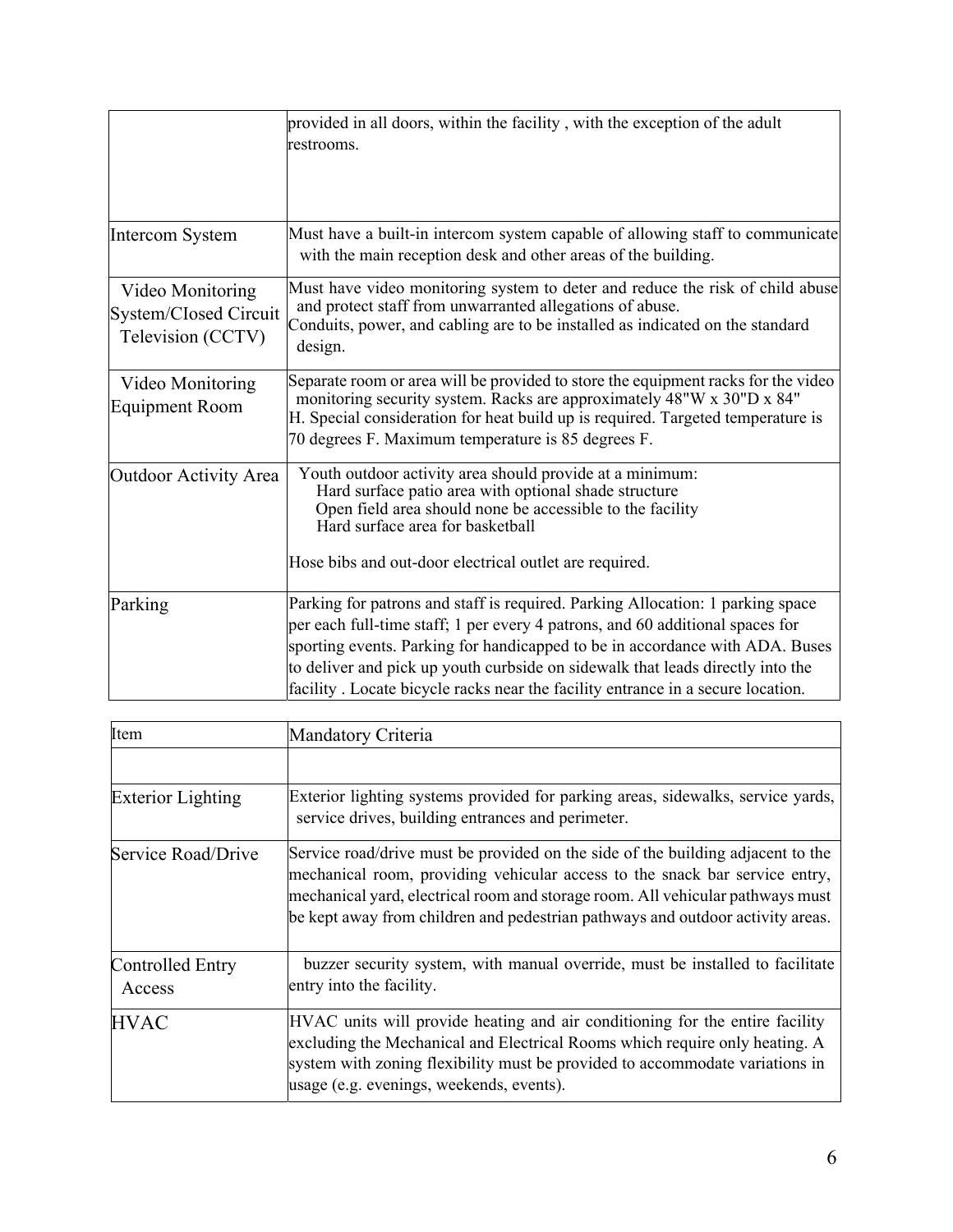|                                                                | provided in all doors, within the facility, with the exception of the adult<br>restrooms.                                                                                                                                                                                                                                                                                                                            |
|----------------------------------------------------------------|----------------------------------------------------------------------------------------------------------------------------------------------------------------------------------------------------------------------------------------------------------------------------------------------------------------------------------------------------------------------------------------------------------------------|
| <b>Intercom System</b>                                         | Must have a built-in intercom system capable of allowing staff to communicate<br>with the main reception desk and other areas of the building.                                                                                                                                                                                                                                                                       |
| Video Monitoring<br>System/Closed Circuit<br>Television (CCTV) | Must have video monitoring system to deter and reduce the risk of child abuse<br>and protect staff from unwarranted allegations of abuse.<br>Conduits, power, and cabling are to be installed as indicated on the standard<br>design.                                                                                                                                                                                |
| Video Monitoring<br><b>Equipment Room</b>                      | Separate room or area will be provided to store the equipment racks for the video<br>monitoring security system. Racks are approximately 48"W x 30"D x 84"<br>H. Special consideration for heat build up is required. Targeted temperature is<br>70 degrees F. Maximum temperature is 85 degrees F.                                                                                                                  |
| Outdoor Activity Area                                          | Youth outdoor activity area should provide at a minimum:<br>Hard surface patio area with optional shade structure<br>Open field area should none be accessible to the facility<br>Hard surface area for basketball<br>Hose bibs and out-door electrical outlet are required.                                                                                                                                         |
| Parking                                                        | Parking for patrons and staff is required. Parking Allocation: 1 parking space<br>per each full-time staff; 1 per every 4 patrons, and 60 additional spaces for<br>sporting events. Parking for handicapped to be in accordance with ADA. Buses<br>to deliver and pick up youth curbside on sidewalk that leads directly into the<br>facility. Locate bicycle racks near the facility entrance in a secure location. |

| Item                              | Mandatory Criteria                                                                                                                                                                                                                                                                                                                 |  |  |
|-----------------------------------|------------------------------------------------------------------------------------------------------------------------------------------------------------------------------------------------------------------------------------------------------------------------------------------------------------------------------------|--|--|
|                                   |                                                                                                                                                                                                                                                                                                                                    |  |  |
| <b>Exterior Lighting</b>          | Exterior lighting systems provided for parking areas, sidewalks, service yards,<br>service drives, building entrances and perimeter.                                                                                                                                                                                               |  |  |
| Service Road/Drive                | Service road/drive must be provided on the side of the building adjacent to the<br>mechanical room, providing vehicular access to the snack bar service entry,<br>mechanical yard, electrical room and storage room. All vehicular pathways must<br>be kept away from children and pedestrian pathways and outdoor activity areas. |  |  |
| <b>Controlled Entry</b><br>Access | buzzer security system, with manual override, must be installed to facilitate<br>entry into the facility.                                                                                                                                                                                                                          |  |  |
| <b>HVAC</b>                       | HVAC units will provide heating and air conditioning for the entire facility<br>excluding the Mechanical and Electrical Rooms which require only heating. A<br>system with zoning flexibility must be provided to accommodate variations in<br>usage (e.g. evenings, weekends, events).                                            |  |  |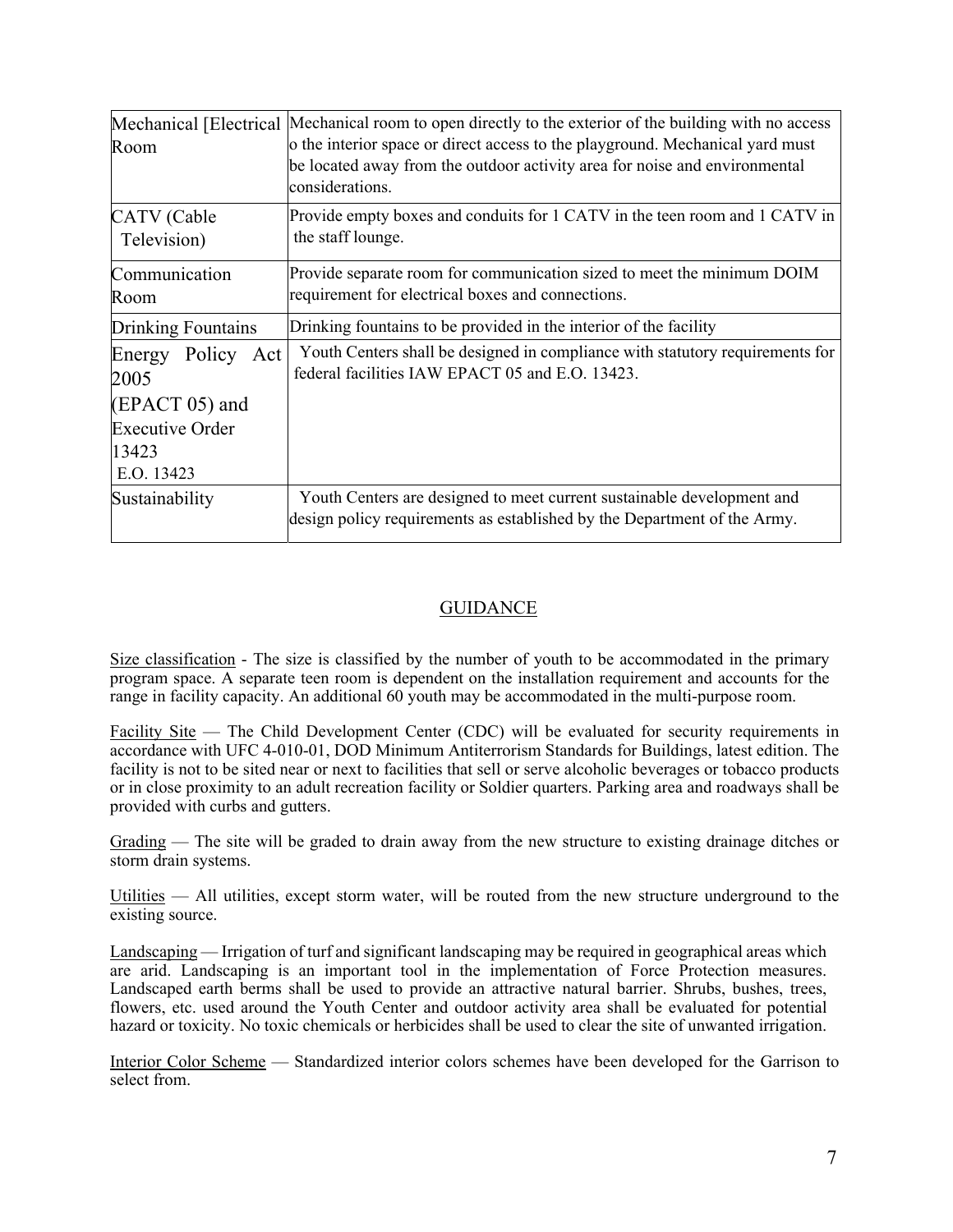| Room                         | Mechanical [Electrical  Mechanical room to open directly to the exterior of the building with no access<br>o the interior space or direct access to the playground. Mechanical yard must<br>be located away from the outdoor activity area for noise and environmental<br>considerations. |
|------------------------------|-------------------------------------------------------------------------------------------------------------------------------------------------------------------------------------------------------------------------------------------------------------------------------------------|
| CATV (Cable<br>Television)   | Provide empty boxes and conduits for 1 CATV in the teen room and 1 CATV in<br>the staff lounge.                                                                                                                                                                                           |
| Communication<br>Room        | Provide separate room for communication sized to meet the minimum DOIM<br>requirement for electrical boxes and connections.                                                                                                                                                               |
| <b>Drinking Fountains</b>    | Drinking fountains to be provided in the interior of the facility                                                                                                                                                                                                                         |
| Policy Act<br>Energy<br>2005 | Youth Centers shall be designed in compliance with statutory requirements for<br>federal facilities IAW EPACT 05 and E.O. 13423.                                                                                                                                                          |
| $(EPACT 05)$ and             |                                                                                                                                                                                                                                                                                           |
| <b>Executive Order</b>       |                                                                                                                                                                                                                                                                                           |
| 13423                        |                                                                                                                                                                                                                                                                                           |
| E.O. 13423                   |                                                                                                                                                                                                                                                                                           |
| Sustainability               | Youth Centers are designed to meet current sustainable development and<br>design policy requirements as established by the Department of the Army.                                                                                                                                        |

### **GUIDANCE**

Size classification - The size is classified by the number of youth to be accommodated in the primary program space. A separate teen room is dependent on the installation requirement and accounts for the range in facility capacity. An additional 60 youth may be accommodated in the multi-purpose room.

Facility Site — The Child Development Center (CDC) will be evaluated for security requirements in accordance with UFC 4-010-01, DOD Minimum Antiterrorism Standards for Buildings, latest edition. The facility is not to be sited near or next to facilities that sell or serve alcoholic beverages or tobacco products or in close proximity to an adult recreation facility or Soldier quarters. Parking area and roadways shall be provided with curbs and gutters.

Grading — The site will be graded to drain away from the new structure to existing drainage ditches or storm drain systems.

Utilities — All utilities, except storm water, will be routed from the new structure underground to the existing source.

Landscaping — Irrigation of turf and significant landscaping may be required in geographical areas which are arid. Landscaping is an important tool in the implementation of Force Protection measures. Landscaped earth berms shall be used to provide an attractive natural barrier. Shrubs, bushes, trees, flowers, etc. used around the Youth Center and outdoor activity area shall be evaluated for potential hazard or toxicity. No toxic chemicals or herbicides shall be used to clear the site of unwanted irrigation.

Interior Color Scheme — Standardized interior colors schemes have been developed for the Garrison to select from.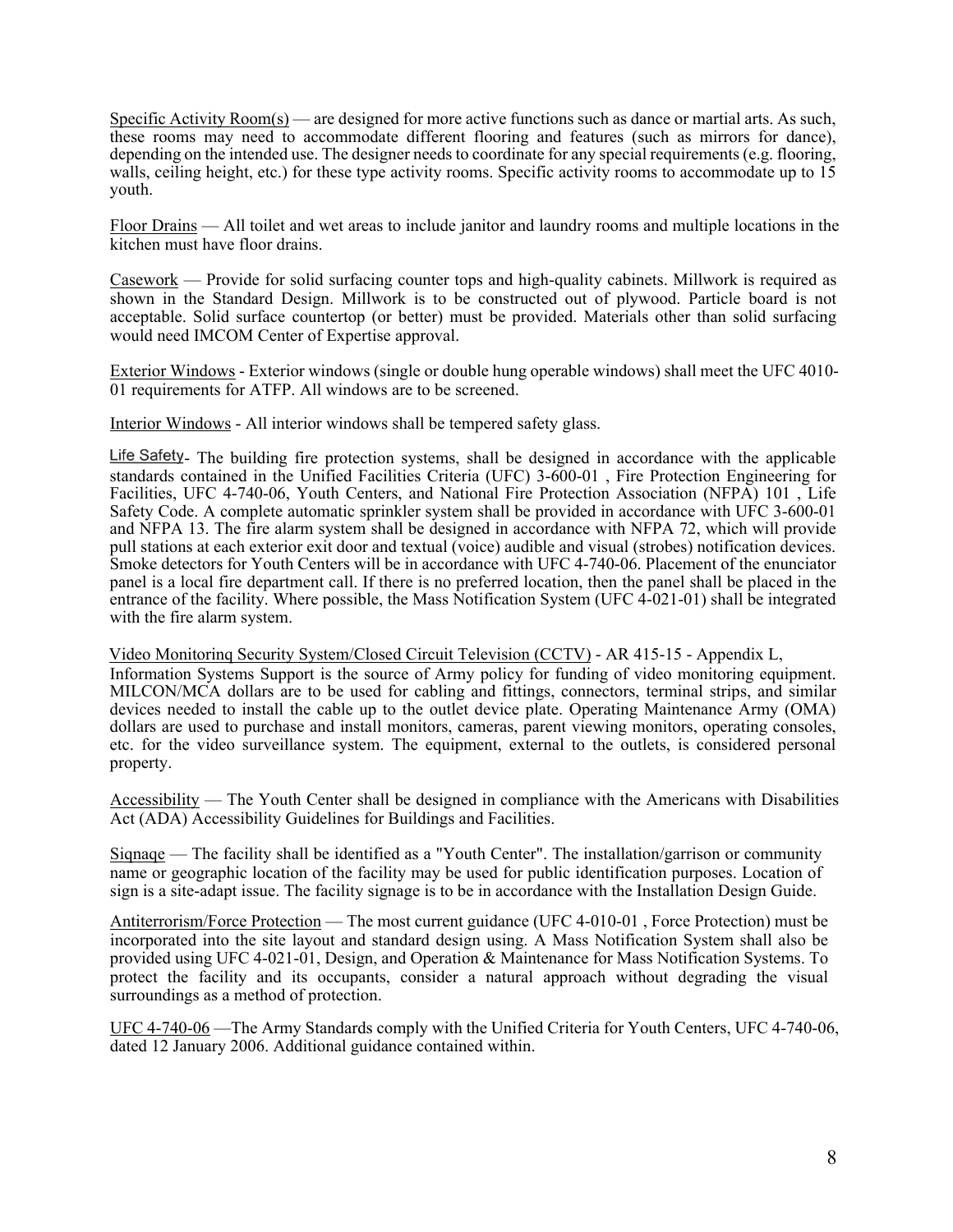Specific Activity Room(s) — are designed for more active functions such as dance or martial arts. As such, these rooms may need to accommodate different flooring and features (such as mirrors for dance), depending on the intended use. The designer needs to coordinate for any special requirements (e.g. flooring, walls, ceiling height, etc.) for these type activity rooms. Specific activity rooms to accommodate up to 15 youth.

Floor Drains — All toilet and wet areas to include janitor and laundry rooms and multiple locations in the kitchen must have floor drains.

Casework — Provide for solid surfacing counter tops and high-quality cabinets. Millwork is required as shown in the Standard Design. Millwork is to be constructed out of plywood. Particle board is not acceptable. Solid surface countertop (or better) must be provided. Materials other than solid surfacing would need IMCOM Center of Expertise approval.

Exterior Windows - Exterior windows (single or double hung operable windows) shall meet the UFC 4010- 01 requirements for ATFP. All windows are to be screened.

Interior Windows - All interior windows shall be tempered safety glass.

Life Safety. The building fire protection systems, shall be designed in accordance with the applicable standards contained in the Unified Facilities Criteria (UFC) 3-600-01 , Fire Protection Engineering for Facilities, UFC 4-740-06, Youth Centers, and National Fire Protection Association (NFPA) 101 , Life Safety Code. A complete automatic sprinkler system shall be provided in accordance with UFC 3-600-01 and NFPA 13. The fire alarm system shall be designed in accordance with NFPA 72, which will provide pull stations at each exterior exit door and textual (voice) audible and visual (strobes) notification devices. Smoke detectors for Youth Centers will be in accordance with UFC 4-740-06. Placement of the enunciator panel is a local fire department call. If there is no preferred location, then the panel shall be placed in the entrance of the facility. Where possible, the Mass Notification System (UFC 4-021-01) shall be integrated with the fire alarm system.

Video Monitorinq Security System/Closed Circuit Television (CCTV) - AR 415-15 - Appendix L, Information Systems Support is the source of Army policy for funding of video monitoring equipment. MILCON/MCA dollars are to be used for cabling and fittings, connectors, terminal strips, and similar devices needed to install the cable up to the outlet device plate. Operating Maintenance Army (OMA) dollars are used to purchase and install monitors, cameras, parent viewing monitors, operating consoles, etc. for the video surveillance system. The equipment, external to the outlets, is considered personal property.

Accessibility — The Youth Center shall be designed in compliance with the Americans with Disabilities Act (ADA) Accessibility Guidelines for Buildings and Facilities.

Siqnaqe — The facility shall be identified as a "Youth Center". The installation/garrison or community name or geographic location of the facility may be used for public identification purposes. Location of sign is a site-adapt issue. The facility signage is to be in accordance with the Installation Design Guide.

Antiterrorism/Force Protection — The most current guidance (UFC 4-010-01 , Force Protection) must be incorporated into the site layout and standard design using. A Mass Notification System shall also be provided using UFC 4-021-01, Design, and Operation & Maintenance for Mass Notification Systems. To protect the facility and its occupants, consider a natural approach without degrading the visual surroundings as a method of protection.

UFC 4-740-06 —The Army Standards comply with the Unified Criteria for Youth Centers, UFC 4-740-06, dated 12 January 2006. Additional guidance contained within.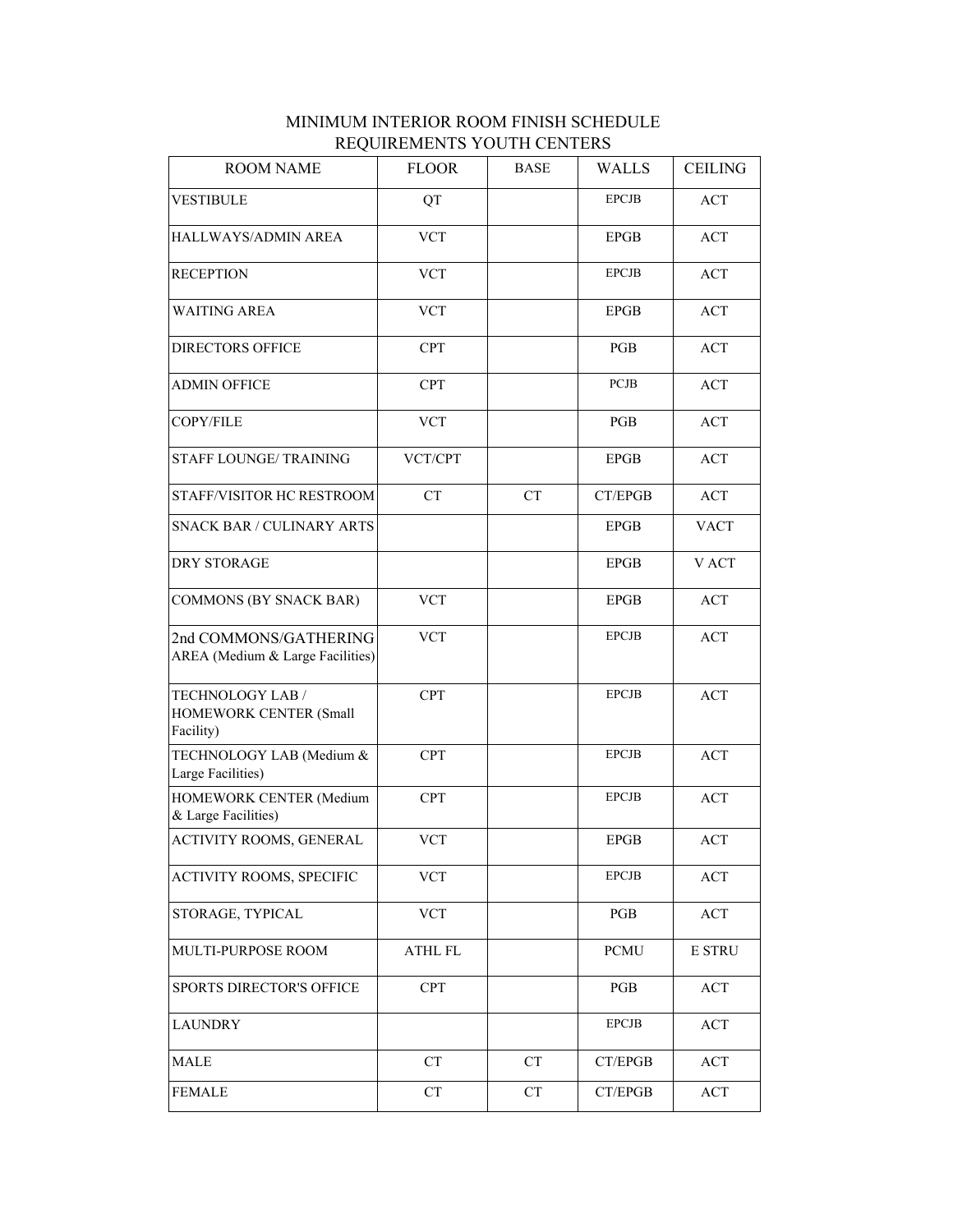| <b>ROOM NAME</b>                                          | <b>FLOOR</b>   | <b>BASE</b> | WALLS        | <b>CEILING</b>   |
|-----------------------------------------------------------|----------------|-------------|--------------|------------------|
| <b>VESTIBULE</b>                                          | QT             |             | <b>EPCJB</b> | ACT              |
| HALLWAYS/ADMIN AREA                                       | <b>VCT</b>     |             | <b>EPGB</b>  | ACT              |
| <b>RECEPTION</b>                                          | <b>VCT</b>     |             | <b>EPCJB</b> | ACT              |
| <b>WAITING AREA</b>                                       | <b>VCT</b>     |             | <b>EPGB</b>  | ACT              |
| <b>DIRECTORS OFFICE</b>                                   | <b>CPT</b>     |             | <b>PGB</b>   | ACT              |
| <b>ADMIN OFFICE</b>                                       | <b>CPT</b>     |             | <b>PCJB</b>  | ACT              |
| COPY/FILE                                                 | <b>VCT</b>     |             | PGB          | ACT              |
| <b>STAFF LOUNGE/TRAINING</b>                              | VCT/CPT        |             | <b>EPGB</b>  | ACT              |
| STAFF/VISITOR HC RESTROOM                                 | CT             | CT          | CT/EPGB      | ACT              |
| <b>SNACK BAR / CULINARY ARTS</b>                          |                |             | <b>EPGB</b>  | <b>VACT</b>      |
| DRY STORAGE                                               |                |             | <b>EPGB</b>  | V ACT            |
| <b>COMMONS (BY SNACK BAR)</b>                             | <b>VCT</b>     |             | <b>EPGB</b>  | ACT              |
| 2nd COMMONS/GATHERING<br>AREA (Medium & Large Facilities) | <b>VCT</b>     |             | <b>EPCJB</b> | ACT              |
| TECHNOLOGY LAB /<br>HOMEWORK CENTER (Small<br>Facility)   | <b>CPT</b>     |             | <b>EPCJB</b> | ACT              |
| TECHNOLOGY LAB (Medium &<br>Large Facilities)             | <b>CPT</b>     |             | <b>EPCJB</b> | ACT              |
| HOMEWORK CENTER (Medium<br>& Large Facilities)            | <b>CPT</b>     |             | <b>EPCJB</b> | ACT              |
| ACTIVITY ROOMS, GENERAL                                   | <b>VCT</b>     |             | <b>EPGB</b>  | ACT              |
| ACTIVITY ROOMS, SPECIFIC                                  | <b>VCT</b>     |             | <b>EPCJB</b> | ACT              |
| STORAGE, TYPICAL                                          | <b>VCT</b>     |             | PGB          | ACT              |
| MULTI-PURPOSE ROOM                                        | <b>ATHL FL</b> |             | <b>PCMU</b>  | <b>E STRU</b>    |
| <b>SPORTS DIRECTOR'S OFFICE</b>                           | <b>CPT</b>     |             | PGB          | $\mathbf{ACT}\,$ |
| <b>LAUNDRY</b>                                            |                |             | <b>EPCJB</b> | ACT              |
| MALE                                                      | <b>CT</b>      | <b>CT</b>   | CT/EPGB      | ACT              |
| <b>FEMALE</b>                                             | CT             | CT          | CT/EPGB      | ACT              |

## MINIMUM INTERIOR ROOM FINISH SCHEDULE REQUIREMENTS YOUTH CENTERS